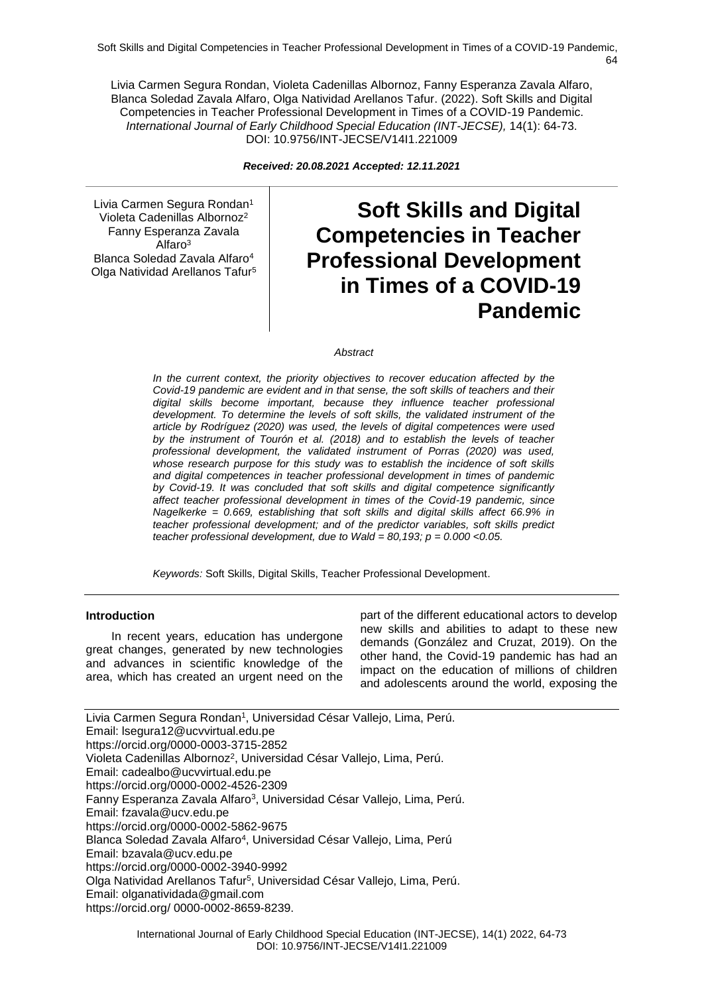Livia Carmen Segura Rondan, Violeta Cadenillas Albornoz, Fanny Esperanza Zavala Alfaro, Blanca Soledad Zavala Alfaro, Olga Natividad Arellanos Tafur. (2022). Soft Skills and Digital Competencies in Teacher Professional Development in Times of a COVID-19 Pandemic. *International Journal of Early Childhood Special Education (INT-JECSE),* 14(1): 64-73. DOI: 10.9756/INT-JECSE/V14I1.221009

*Received: 20.08.2021 Accepted: 12.11.2021*

Livia Carmen Segura Rondan<sup>1</sup> Violeta Cadenillas Albornoz<sup>2</sup> Fanny Esperanza Zavala Alfaro<sup>3</sup> Blanca Soledad Zavala Alfaro<sup>4</sup> Olga Natividad Arellanos Tafur<sup>5</sup>

# **Soft Skills and Digital Competencies in Teacher Professional Development in Times of a COVID-19 Pandemic**

#### *Abstract*

*In the current context, the priority objectives to recover education affected by the Covid-19 pandemic are evident and in that sense, the soft skills of teachers and their digital skills become important, because they influence teacher professional development. To determine the levels of soft skills, the validated instrument of the article by Rodríguez (2020) was used, the levels of digital competences were used by the instrument of Tourón et al. (2018) and to establish the levels of teacher professional development, the validated instrument of Porras (2020) was used, whose research purpose for this study was to establish the incidence of soft skills and digital competences in teacher professional development in times of pandemic by Covid-19. It was concluded that soft skills and digital competence significantly affect teacher professional development in times of the Covid-19 pandemic, since Nagelkerke = 0.669, establishing that soft skills and digital skills affect 66.9% in teacher professional development; and of the predictor variables, soft skills predict teacher professional development, due to Wald = 80,193; p = 0.000 <0.05.* 

*Keywords:* Soft Skills, Digital Skills, Teacher Professional Development.

#### **Introduction**

In recent years, education has undergone great changes, generated by new technologies and advances in scientific knowledge of the area, which has created an urgent need on the

part of the different educational actors to develop new skills and abilities to adapt to these new demands (González and Cruzat, 2019). On the other hand, the Covid-19 pandemic has had an impact on the education of millions of children and adolescents around the world, exposing the

Livia Carmen Segura Rondan<sup>1</sup>, Universidad César Vallejo, Lima, Perú. Email: lsegura12@ucvvirtual.edu.pe https://orcid.org/0000-0003-3715-2852 Violeta Cadenillas Albornoz<sup>2</sup>, Universidad César Vallejo, Lima, Perú. Email: cadealbo@ucvvirtual.edu.pe https://orcid.org/0000-0002-4526-2309 Fanny Esperanza Zavala Alfaro<sup>3</sup>, Universidad César Vallejo, Lima, Perú. Email: fzavala@ucv.edu.pe https://orcid.org/0000-0002-5862-9675 Blanca Soledad Zavala Alfaro<sup>4</sup>, Universidad César Vallejo, Lima, Perú Email: bzavala@ucv.edu.pe https://orcid.org/0000-0002-3940-9992 Olga Natividad Arellanos Tafur<sup>5</sup>, Universidad César Vallejo, Lima, Perú. Email: olganatividada@gmail.com https://orcid.org/ 0000-0002-8659-8239.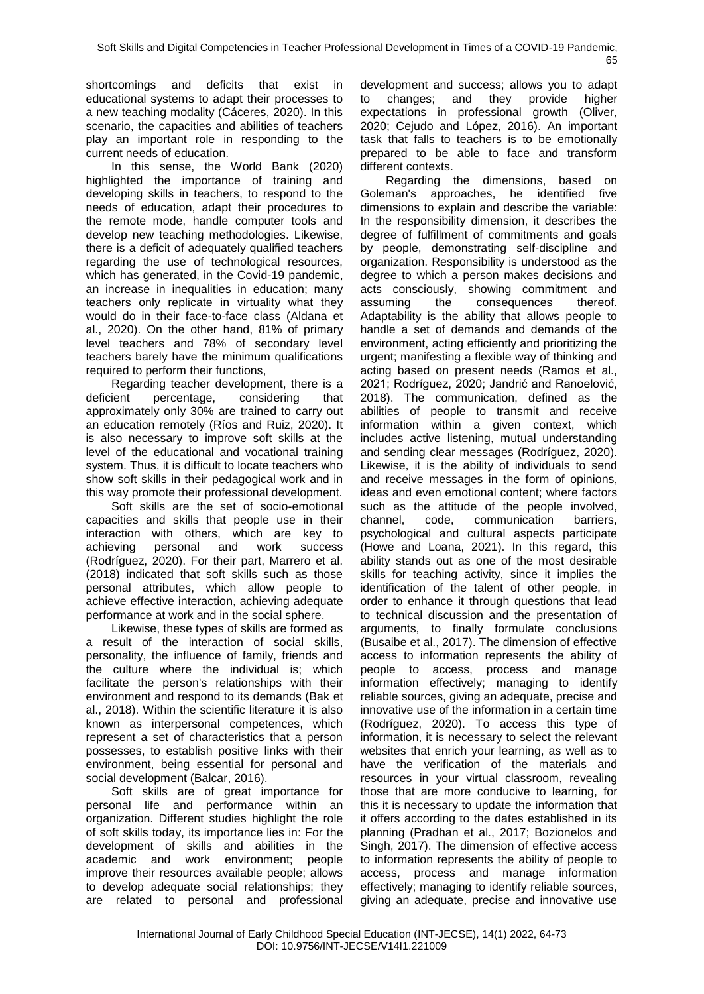shortcomings and deficits that exist in educational systems to adapt their processes to a new teaching modality (Cáceres, 2020). In this scenario, the capacities and abilities of teachers play an important role in responding to the current needs of education.

In this sense, the World Bank (2020) highlighted the importance of training and developing skills in teachers, to respond to the needs of education, adapt their procedures to the remote mode, handle computer tools and develop new teaching methodologies. Likewise, there is a deficit of adequately qualified teachers regarding the use of technological resources, which has generated, in the Covid-19 pandemic, an increase in inequalities in education; many teachers only replicate in virtuality what they would do in their face-to-face class (Aldana et al., 2020). On the other hand, 81% of primary level teachers and 78% of secondary level teachers barely have the minimum qualifications required to perform their functions,

Regarding teacher development, there is a deficient percentage, considering that approximately only 30% are trained to carry out an education remotely (Ríos and Ruiz, 2020). It is also necessary to improve soft skills at the level of the educational and vocational training system. Thus, it is difficult to locate teachers who show soft skills in their pedagogical work and in this way promote their professional development.

Soft skills are the set of socio-emotional capacities and skills that people use in their interaction with others, which are key to achieving personal and work success (Rodríguez, 2020). For their part, Marrero et al. (2018) indicated that soft skills such as those personal attributes, which allow people to achieve effective interaction, achieving adequate performance at work and in the social sphere.

Likewise, these types of skills are formed as a result of the interaction of social skills, personality, the influence of family, friends and the culture where the individual is; which facilitate the person's relationships with their environment and respond to its demands (Bak et al., 2018). Within the scientific literature it is also known as interpersonal competences, which represent a set of characteristics that a person possesses, to establish positive links with their environment, being essential for personal and social development (Balcar, 2016).

Soft skills are of great importance for personal life and performance within an organization. Different studies highlight the role of soft skills today, its importance lies in: For the development of skills and abilities in the academic and work environment; people improve their resources available people; allows to develop adequate social relationships; they are related to personal and professional

development and success; allows you to adapt to changes; and they provide higher expectations in professional growth (Oliver, 2020; Cejudo and López, 2016). An important task that falls to teachers is to be emotionally prepared to be able to face and transform different contexts.

Regarding the dimensions, based on Goleman's approaches, he identified five dimensions to explain and describe the variable: In the responsibility dimension, it describes the degree of fulfillment of commitments and goals by people, demonstrating self-discipline and organization. Responsibility is understood as the degree to which a person makes decisions and acts consciously, showing commitment and assuming the consequences thereof. Adaptability is the ability that allows people to handle a set of demands and demands of the environment, acting efficiently and prioritizing the urgent; manifesting a flexible way of thinking and acting based on present needs (Ramos et al., 2021; Rodríguez, 2020; Jandrić and Ranoelović, 2018). The communication, defined as the abilities of people to transmit and receive information within a given context, which includes active listening, mutual understanding and sending clear messages (Rodríguez, 2020). Likewise, it is the ability of individuals to send and receive messages in the form of opinions, ideas and even emotional content; where factors such as the attitude of the people involved, channel, code, communication barriers, psychological and cultural aspects participate (Howe and Loana, 2021). In this regard, this ability stands out as one of the most desirable skills for teaching activity, since it implies the identification of the talent of other people, in order to enhance it through questions that lead to technical discussion and the presentation of arguments, to finally formulate conclusions (Busaibe et al., 2017). The dimension of effective access to information represents the ability of people to access, process and manage information effectively; managing to identify reliable sources, giving an adequate, precise and innovative use of the information in a certain time (Rodríguez, 2020). To access this type of information, it is necessary to select the relevant websites that enrich your learning, as well as to have the verification of the materials and resources in your virtual classroom, revealing those that are more conducive to learning, for this it is necessary to update the information that it offers according to the dates established in its planning (Pradhan et al., 2017; Bozionelos and Singh, 2017). The dimension of effective access to information represents the ability of people to access, process and manage information effectively; managing to identify reliable sources, giving an adequate, precise and innovative use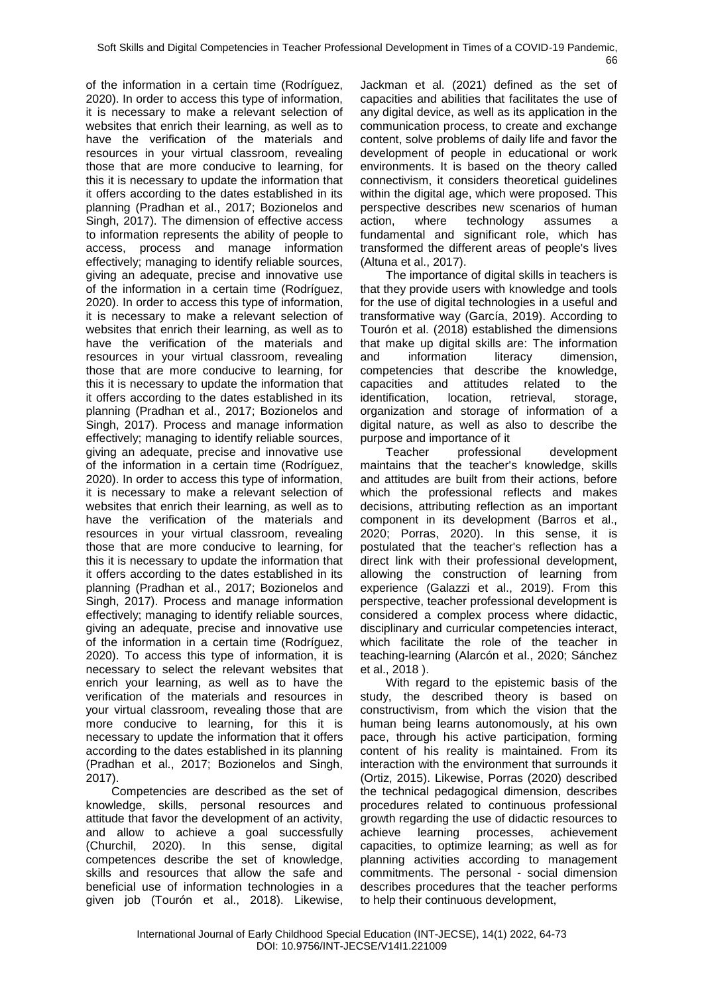of the information in a certain time (Rodríguez, 2020). In order to access this type of information, it is necessary to make a relevant selection of websites that enrich their learning, as well as to have the verification of the materials and resources in your virtual classroom, revealing those that are more conducive to learning, for this it is necessary to update the information that it offers according to the dates established in its planning (Pradhan et al., 2017; Bozionelos and Singh, 2017). The dimension of effective access to information represents the ability of people to access, process and manage information effectively; managing to identify reliable sources, giving an adequate, precise and innovative use of the information in a certain time (Rodríguez, 2020). In order to access this type of information, it is necessary to make a relevant selection of websites that enrich their learning, as well as to have the verification of the materials and resources in your virtual classroom, revealing those that are more conducive to learning, for this it is necessary to update the information that it offers according to the dates established in its planning (Pradhan et al., 2017; Bozionelos and Singh, 2017). Process and manage information effectively; managing to identify reliable sources, giving an adequate, precise and innovative use of the information in a certain time (Rodríguez, 2020). In order to access this type of information, it is necessary to make a relevant selection of websites that enrich their learning, as well as to have the verification of the materials and resources in your virtual classroom, revealing those that are more conducive to learning, for this it is necessary to update the information that it offers according to the dates established in its planning (Pradhan et al., 2017; Bozionelos and Singh, 2017). Process and manage information effectively; managing to identify reliable sources, giving an adequate, precise and innovative use of the information in a certain time (Rodríguez, 2020). To access this type of information, it is necessary to select the relevant websites that enrich your learning, as well as to have the verification of the materials and resources in your virtual classroom, revealing those that are more conducive to learning, for this it is necessary to update the information that it offers according to the dates established in its planning (Pradhan et al., 2017; Bozionelos and Singh, 2017).

Competencies are described as the set of knowledge, skills, personal resources and attitude that favor the development of an activity, and allow to achieve a goal successfully (Churchil, 2020). In this sense, digital competences describe the set of knowledge, skills and resources that allow the safe and beneficial use of information technologies in a given job (Tourón et al., 2018). Likewise,

Jackman et al. (2021) defined as the set of capacities and abilities that facilitates the use of any digital device, as well as its application in the communication process, to create and exchange content, solve problems of daily life and favor the development of people in educational or work environments. It is based on the theory called connectivism, it considers theoretical guidelines within the digital age, which were proposed. This perspective describes new scenarios of human action, where technology assumes a fundamental and significant role, which has transformed the different areas of people's lives (Altuna et al., 2017).

The importance of digital skills in teachers is that they provide users with knowledge and tools for the use of digital technologies in a useful and transformative way (García, 2019). According to Tourón et al. (2018) established the dimensions that make up digital skills are: The information and information literacy dimension, competencies that describe the knowledge, capacities and attitudes related to the identification, location, retrieval, storage, organization and storage of information of a digital nature, as well as also to describe the purpose and importance of it

Teacher professional development maintains that the teacher's knowledge, skills and attitudes are built from their actions, before which the professional reflects and makes decisions, attributing reflection as an important component in its development (Barros et al., 2020; Porras, 2020). In this sense, it is postulated that the teacher's reflection has a direct link with their professional development, allowing the construction of learning from experience (Galazzi et al., 2019). From this perspective, teacher professional development is considered a complex process where didactic, disciplinary and curricular competencies interact, which facilitate the role of the teacher in teaching-learning (Alarcón et al., 2020; Sánchez et al., 2018 ).

With regard to the epistemic basis of the study, the described theory is based on constructivism, from which the vision that the human being learns autonomously, at his own pace, through his active participation, forming content of his reality is maintained. From its interaction with the environment that surrounds it (Ortiz, 2015). Likewise, Porras (2020) described the technical pedagogical dimension, describes procedures related to continuous professional growth regarding the use of didactic resources to achieve learning processes, achievement capacities, to optimize learning; as well as for planning activities according to management commitments. The personal - social dimension describes procedures that the teacher performs to help their continuous development,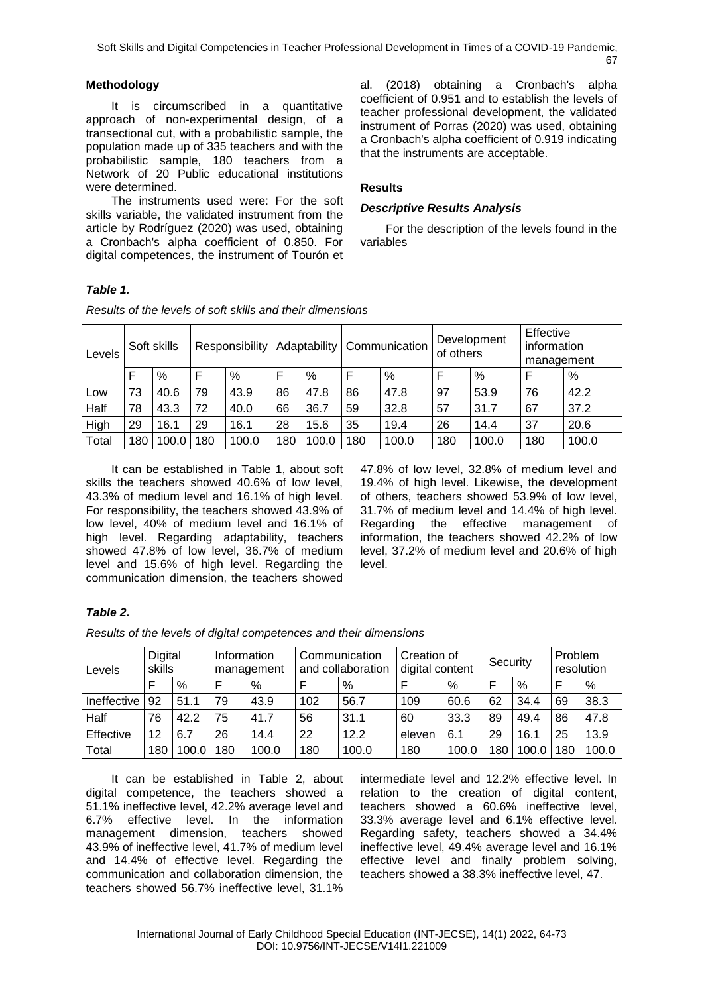## **Methodology**

It is circumscribed in a quantitative approach of non-experimental design, of a transectional cut, with a probabilistic sample, the population made up of 335 teachers and with the probabilistic sample, 180 teachers from a Network of 20 Public educational institutions were determined.

The instruments used were: For the soft skills variable, the validated instrument from the article by Rodríguez (2020) was used, obtaining a Cronbach's alpha coefficient of 0.850. For digital competences, the instrument of Tourón et al. (2018) obtaining a Cronbach's alpha coefficient of 0.951 and to establish the levels of teacher professional development, the validated instrument of Porras (2020) was used, obtaining a Cronbach's alpha coefficient of 0.919 indicating that the instruments are acceptable.

## **Results**

## *Descriptive Results Analysis*

For the description of the levels found in the variables

## *Table 1.*

| Levels |    | Soft skills |     | Responsibility |     |       |     | Adaptability   Communication | of others | Development | Effective<br>information<br>management |       |
|--------|----|-------------|-----|----------------|-----|-------|-----|------------------------------|-----------|-------------|----------------------------------------|-------|
|        | F  | %           | Е   | %              |     | %     | F   | %                            |           | %           |                                        | %     |
| Low    | 73 | 40.6        | 79  | 43.9           | 86  | 47.8  | 86  | 47.8                         | 97        | 53.9        | 76                                     | 42.2  |
| Half   | 78 | 43.3        | 72  | 40.0           | 66  | 36.7  | 59  | 32.8                         | 57        | 31.7        | 67                                     | 37.2  |
| High   | 29 | 16.1        | 29  | 16.1           | 28  | 15.6  | 35  | 19.4                         | 26        | 14.4        | 37                                     | 20.6  |
| Total  | 80 | 100.0       | 180 | 100.0          | 180 | 100.0 | 180 | 100.0                        | 180       | 100.0       | 180                                    | 100.0 |

*Results of the levels of soft skills and their dimensions*

It can be established in Table 1, about soft skills the teachers showed 40.6% of low level, 43.3% of medium level and 16.1% of high level. For responsibility, the teachers showed 43.9% of low level, 40% of medium level and 16.1% of high level. Regarding adaptability, teachers showed 47.8% of low level, 36.7% of medium level and 15.6% of high level. Regarding the communication dimension, the teachers showed

47.8% of low level, 32.8% of medium level and 19.4% of high level. Likewise, the development of others, teachers showed 53.9% of low level, 31.7% of medium level and 14.4% of high level. Regarding the effective management of information, the teachers showed 42.2% of low level, 37.2% of medium level and 20.6% of high level.

# *Table 2.*

*Results of the levels of digital competences and their dimensions*

| Levels      | Digital<br>skills |       | Information | management |     | Communication<br>and collaboration | Creation of<br>digital content |       | Security |               |     | Problem<br>resolution |  |
|-------------|-------------------|-------|-------------|------------|-----|------------------------------------|--------------------------------|-------|----------|---------------|-----|-----------------------|--|
|             |                   | %     |             | %          | F   | %                                  | F                              | %     | F        | $\frac{0}{0}$ | F   | %                     |  |
| Ineffective | 92                | 51.1  | 79          | 43.9       | 102 | 56.7                               | 109                            | 60.6  | 62       | 34.4          | 69  | 38.3                  |  |
| Half        | 76                | 42.2  | 75          | 41.7       | 56  | 31.1                               | 60                             | 33.3  | 89       | 49.4          | 86  | 47.8                  |  |
| Effective   | 12                | 6.7   | 26          | 14.4       | 22  | 12.2                               | eleven                         | 6.1   | 29       | 16.1          | 25  | 13.9                  |  |
| Total       | 180               | 100.0 | 80          | 100.0      | 180 | 100.0                              | 180                            | 100.0 | 180      | 100.0         | 180 | 100.0                 |  |

It can be established in Table 2, about digital competence, the teachers showed a 51.1% ineffective level, 42.2% average level and 6.7% effective level. In the information management dimension, teachers showed 43.9% of ineffective level, 41.7% of medium level and 14.4% of effective level. Regarding the communication and collaboration dimension, the teachers showed 56.7% ineffective level, 31.1%

intermediate level and 12.2% effective level. In relation to the creation of digital content, teachers showed a 60.6% ineffective level, 33.3% average level and 6.1% effective level. Regarding safety, teachers showed a 34.4% ineffective level, 49.4% average level and 16.1% effective level and finally problem solving, teachers showed a 38.3% ineffective level, 47.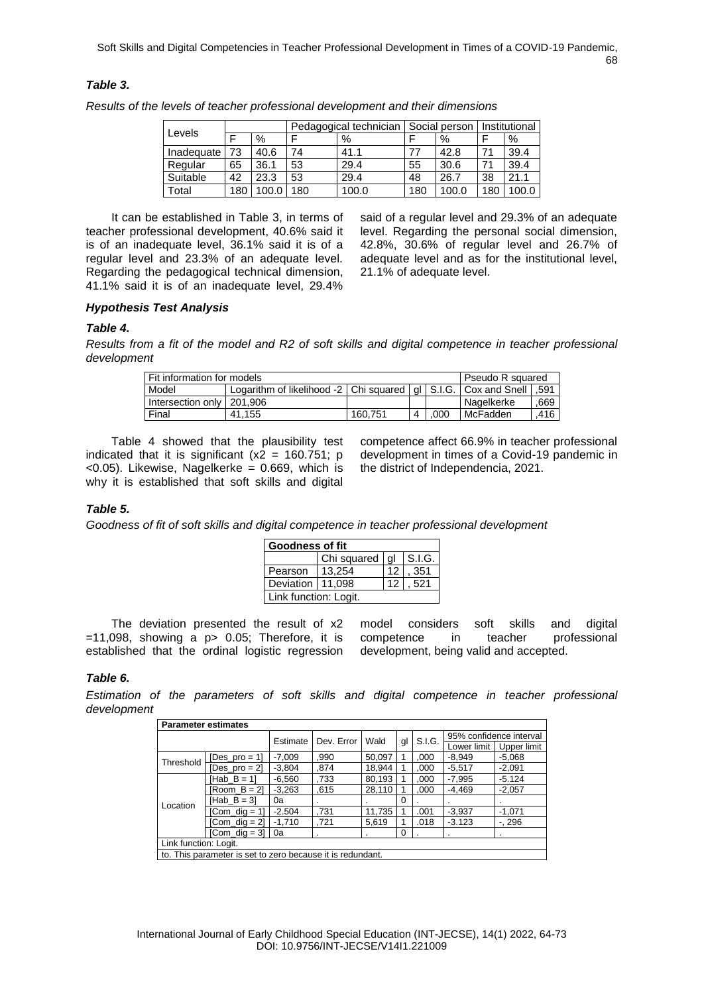#### *Table 3.*

|            |     |       |    | Pedagogical technician |     | Social person | Institutional |       |
|------------|-----|-------|----|------------------------|-----|---------------|---------------|-------|
| Levels     |     | %     | ┍  | %                      |     | %             |               | %     |
| Inadeguate | 73  | 40.6  | 74 | 41.1                   | 77  | 42.8          | 71            | 39.4  |
| Regular    | 65  | 36.1  | 53 | 29.4                   | 55  | 30.6          | 71            | 39.4  |
| Suitable   | 42  | 23.3  | 53 | 29.4                   | 48  | 26.7          | 38            | 21.1  |
| Total      | 180 | 100.0 | 80 | 100.0                  | 180 | 100.0         | 180           | 100.0 |

*Results of the levels of teacher professional development and their dimensions*

It can be established in Table 3, in terms of teacher professional development, 40.6% said it is of an inadequate level, 36.1% said it is of a regular level and 23.3% of an adequate level. Regarding the pedagogical technical dimension, 41.1% said it is of an inadequate level, 29.4%

said of a regular level and 29.3% of an adequate level. Regarding the personal social dimension, 42.8%, 30.6% of regular level and 26.7% of adequate level and as for the institutional level, 21.1% of adequate level.

# *Hypothesis Test Analysis*

## *Table 4.*

*Results from a fit of the model and R2 of soft skills and digital competence in teacher professional development* 

| Fit information for models  |         |  |      |  |                                                                                                                               |  |  |  |
|-----------------------------|---------|--|------|--|-------------------------------------------------------------------------------------------------------------------------------|--|--|--|
|                             |         |  |      |  |                                                                                                                               |  |  |  |
| Intersection only   201,906 |         |  |      |  | .669                                                                                                                          |  |  |  |
| 41.155                      | 160.751 |  | .000 |  | .416                                                                                                                          |  |  |  |
|                             |         |  |      |  | Pseudo R squared<br>Logarithm of likelihood -2   Chi squared   gl   S.I.G.   Cox and Snell   .591<br>l Nagelkerke<br>McFadden |  |  |  |

Table 4 showed that the plausibility test indicated that it is significant  $(x2 = 160.751; p)$  $<$ 0.05). Likewise, Nagelkerke = 0.669, which is why it is established that soft skills and digital

competence affect 66.9% in teacher professional development in times of a Covid-19 pandemic in the district of Independencia, 2021.

#### *Table 5.*

*Goodness of fit of soft skills and digital competence in teacher professional development*

| Goodness of fit       |                           |                 |      |  |  |  |  |  |
|-----------------------|---------------------------|-----------------|------|--|--|--|--|--|
|                       | Chi squared $ gl $ S.I.G. |                 |      |  |  |  |  |  |
| Pearson               | 13,254                    | 12 <sup>°</sup> | 351  |  |  |  |  |  |
| Deviation   11.098    |                           | 12 <sub>1</sub> | .521 |  |  |  |  |  |
| Link function: Logit. |                           |                 |      |  |  |  |  |  |

The deviation presented the result of x2  $=$  11,098, showing a p  $>$  0.05; Therefore, it is established that the ordinal logistic regression model considers soft skills and digital competence in teacher professional development, being valid and accepted.

#### *Table 6.*

*Estimation of the parameters of soft skills and digital competence in teacher professional development*

| <b>Parameter estimates</b> |                                                            |                        |      |        |    |        |                         |             |  |  |
|----------------------------|------------------------------------------------------------|------------------------|------|--------|----|--------|-------------------------|-------------|--|--|
|                            |                                                            | Dev. Error<br>Estimate |      | Wald   |    | S.I.G. | 95% confidence interval |             |  |  |
|                            |                                                            |                        |      |        | gl |        | Lower limit             | Upper limit |  |  |
| Threshold                  | [Des_pro = $1$ ]                                           | $-7.009$               | .990 | 50,097 |    | .000   | $-8.949$                | $-5.068$    |  |  |
|                            | $\mathsf{Des\_pro} = 2$                                    | $-3.804$               | .874 | 18.944 |    | .000   | $-5.517$                | $-2,091$    |  |  |
|                            | $[Hab B = 1]$                                              | $-6,560$               | .733 | 80,193 |    | ,000   | $-7,995$                | $-5.124$    |  |  |
|                            | $Room B = 21$                                              | $-3,263$               | .615 | 28,110 |    | ,000   | $-4.469$                | $-2,057$    |  |  |
| Location                   | $[Hab B = 3]$                                              | 0a                     |      |        | 0  |        |                         |             |  |  |
|                            | $[Com\_dig = 1]$                                           | $-2.504$               | .731 | 11,735 |    | .001   | $-3.937$                | $-1,071$    |  |  |
|                            | Com dig = 21                                               | $-1.710$               | .721 | 5,619  |    | .018   | $-3.123$                | $-0.296$    |  |  |
|                            | $[Com$ dig = 3] $\vert$                                    | 0a                     | ٠    | ٠      | 0  |        | ٠                       |             |  |  |
|                            | Link function: Logit.                                      |                        |      |        |    |        |                         |             |  |  |
|                            | to. This parameter is set to zero because it is redundant. |                        |      |        |    |        |                         |             |  |  |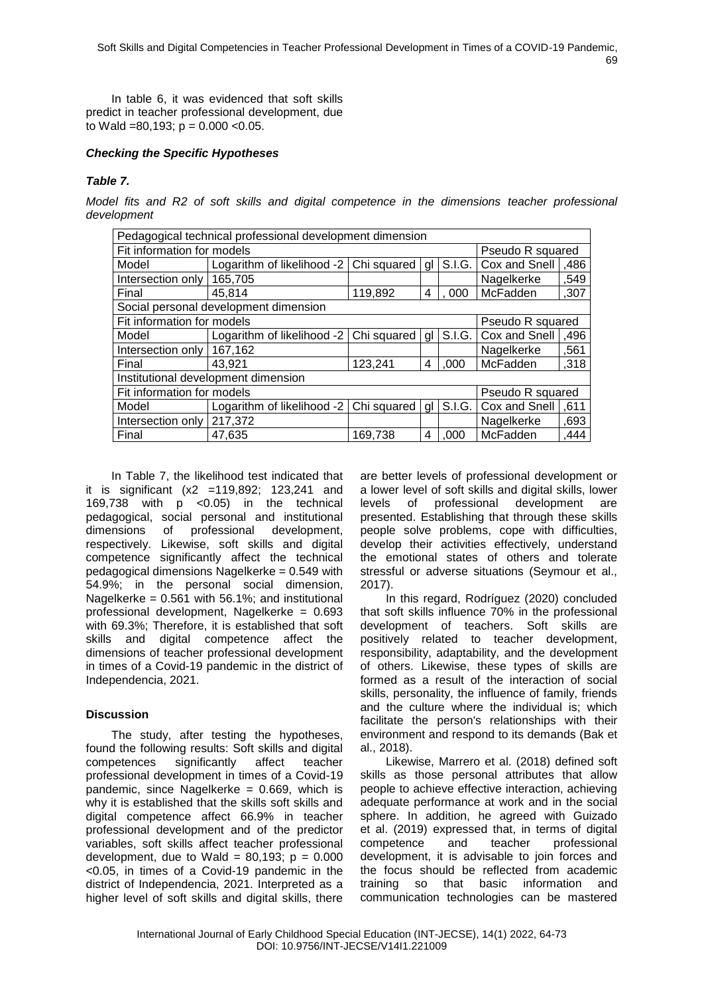In table 6, it was evidenced that soft skills predict in teacher professional development, due to Wald =80,193;  $p = 0.000$  <0.05.

## *Checking the Specific Hypotheses*

## *Table 7.*

*Model fits and R2 of soft skills and digital competence in the dimensions teacher professional development*

| Pedagogical technical professional development dimension |                                           |             |      |        |                  |      |  |  |  |  |  |
|----------------------------------------------------------|-------------------------------------------|-------------|------|--------|------------------|------|--|--|--|--|--|
| Fit information for models                               |                                           |             |      |        | Pseudo R squared |      |  |  |  |  |  |
| Model                                                    | Logarithm of likelihood -2                | Chi squared | gl   | S.I.G. | Cox and Snell    | ,486 |  |  |  |  |  |
| Intersection only                                        | 165,705<br>Nagelkerke                     |             |      | ,549   |                  |      |  |  |  |  |  |
| Final                                                    | McFadden<br>119,892<br>45,814<br>000<br>4 |             | ,307 |        |                  |      |  |  |  |  |  |
|                                                          | Social personal development dimension     |             |      |        |                  |      |  |  |  |  |  |
| Fit information for models<br>Pseudo R squared           |                                           |             |      |        |                  |      |  |  |  |  |  |
| Model                                                    | Logarithm of likelihood -2   Chi squared  |             | al   | S.I.G. | Cox and Snell    | ,496 |  |  |  |  |  |
| Intersection only                                        | 167,162                                   |             |      |        | Nagelkerke       | ,561 |  |  |  |  |  |
| Final                                                    | 43,921                                    | 123,241     | 4    | ,000   | McFadden         | ,318 |  |  |  |  |  |
|                                                          | Institutional development dimension       |             |      |        |                  |      |  |  |  |  |  |
| Fit information for models                               |                                           |             |      |        | Pseudo R squared |      |  |  |  |  |  |
| Model                                                    | Logarithm of likelihood -2                | Chi squared | gl   | S.I.G. | Cox and Snell    | ,611 |  |  |  |  |  |
| Intersection only                                        | 217,372                                   |             |      |        | Nagelkerke       | ,693 |  |  |  |  |  |
| Final                                                    | 47,635                                    | 169.738     | 4    | .000   | McFadden         | ,444 |  |  |  |  |  |

In Table 7, the likelihood test indicated that it is significant (x2 =119,892; 123,241 and 169,738 with p <0.05) in the technical pedagogical, social personal and institutional dimensions of professional development, respectively. Likewise, soft skills and digital competence significantly affect the technical pedagogical dimensions Nagelkerke = 0.549 with 54.9%; in the personal social dimension, Nagelkerke = 0.561 with 56.1%; and institutional professional development, Nagelkerke = 0.693 with 69.3%; Therefore, it is established that soft skills and digital competence affect the dimensions of teacher professional development in times of a Covid-19 pandemic in the district of Independencia, 2021.

## **Discussion**

The study, after testing the hypotheses, found the following results: Soft skills and digital competences significantly affect teacher professional development in times of a Covid-19 pandemic, since Nagelkerke = 0.669, which is why it is established that the skills soft skills and digital competence affect 66.9% in teacher professional development and of the predictor variables, soft skills affect teacher professional development, due to Wald =  $80,193$ ;  $p = 0.000$ <0.05, in times of a Covid-19 pandemic in the district of Independencia, 2021. Interpreted as a higher level of soft skills and digital skills, there

are better levels of professional development or a lower level of soft skills and digital skills, lower levels of professional development are presented. Establishing that through these skills people solve problems, cope with difficulties, develop their activities effectively, understand the emotional states of others and tolerate stressful or adverse situations (Seymour et al., 2017).

In this regard, Rodríguez (2020) concluded that soft skills influence 70% in the professional development of teachers. Soft skills are positively related to teacher development, responsibility, adaptability, and the development of others. Likewise, these types of skills are formed as a result of the interaction of social skills, personality, the influence of family, friends and the culture where the individual is; which facilitate the person's relationships with their environment and respond to its demands (Bak et al., 2018).

Likewise, Marrero et al. (2018) defined soft skills as those personal attributes that allow people to achieve effective interaction, achieving adequate performance at work and in the social sphere. In addition, he agreed with Guizado et al. (2019) expressed that, in terms of digital competence and teacher professional development, it is advisable to join forces and the focus should be reflected from academic training so that basic information and communication technologies can be mastered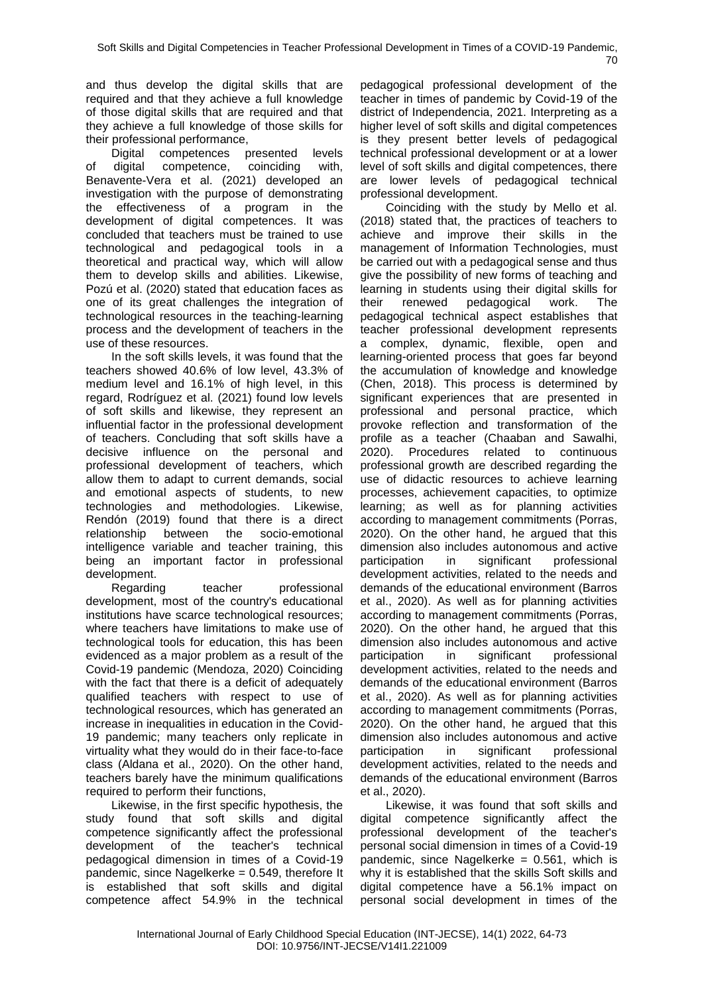and thus develop the digital skills that are required and that they achieve a full knowledge of those digital skills that are required and that they achieve a full knowledge of those skills for their professional performance,

Digital competences presented levels of digital competence, coinciding with, Benavente-Vera et al. (2021) developed an investigation with the purpose of demonstrating the effectiveness of a program in the development of digital competences. It was concluded that teachers must be trained to use technological and pedagogical tools in a theoretical and practical way, which will allow them to develop skills and abilities. Likewise, Pozú et al. (2020) stated that education faces as one of its great challenges the integration of technological resources in the teaching-learning process and the development of teachers in the use of these resources.

In the soft skills levels, it was found that the teachers showed 40.6% of low level, 43.3% of medium level and 16.1% of high level, in this regard, Rodríguez et al. (2021) found low levels of soft skills and likewise, they represent an influential factor in the professional development of teachers. Concluding that soft skills have a decisive influence on the personal and professional development of teachers, which allow them to adapt to current demands, social and emotional aspects of students, to new technologies and methodologies. Likewise, Rendón (2019) found that there is a direct relationship between the socio-emotional intelligence variable and teacher training, this being an important factor in professional development.

Regarding teacher professional development, most of the country's educational institutions have scarce technological resources; where teachers have limitations to make use of technological tools for education, this has been evidenced as a major problem as a result of the Covid-19 pandemic (Mendoza, 2020) Coinciding with the fact that there is a deficit of adequately qualified teachers with respect to use of technological resources, which has generated an increase in inequalities in education in the Covid-19 pandemic; many teachers only replicate in virtuality what they would do in their face-to-face class (Aldana et al., 2020). On the other hand, teachers barely have the minimum qualifications required to perform their functions,

Likewise, in the first specific hypothesis, the study found that soft skills and digital competence significantly affect the professional development of the teacher's technical pedagogical dimension in times of a Covid-19 pandemic, since Nagelkerke = 0.549, therefore It is established that soft skills and digital competence affect 54.9% in the technical

pedagogical professional development of the teacher in times of pandemic by Covid-19 of the district of Independencia, 2021. Interpreting as a higher level of soft skills and digital competences is they present better levels of pedagogical technical professional development or at a lower level of soft skills and digital competences, there are lower levels of pedagogical technical professional development.

Coinciding with the study by Mello et al. (2018) stated that, the practices of teachers to achieve and improve their skills in the management of Information Technologies, must be carried out with a pedagogical sense and thus give the possibility of new forms of teaching and learning in students using their digital skills for their renewed pedagogical work. The pedagogical technical aspect establishes that teacher professional development represents a complex, dynamic, flexible, open and learning-oriented process that goes far beyond the accumulation of knowledge and knowledge (Chen, 2018). This process is determined by significant experiences that are presented in professional and personal practice, which provoke reflection and transformation of the profile as a teacher (Chaaban and Sawalhi, 2020). Procedures related to continuous professional growth are described regarding the use of didactic resources to achieve learning processes, achievement capacities, to optimize learning; as well as for planning activities according to management commitments (Porras, 2020). On the other hand, he argued that this dimension also includes autonomous and active participation in significant professional development activities, related to the needs and demands of the educational environment (Barros et al., 2020). As well as for planning activities according to management commitments (Porras, 2020). On the other hand, he argued that this dimension also includes autonomous and active participation in significant professional development activities, related to the needs and demands of the educational environment (Barros et al., 2020). As well as for planning activities according to management commitments (Porras, 2020). On the other hand, he argued that this dimension also includes autonomous and active participation in significant professional development activities, related to the needs and demands of the educational environment (Barros et al., 2020).

Likewise, it was found that soft skills and digital competence significantly affect the professional development of the teacher's personal social dimension in times of a Covid-19 pandemic, since Nagelkerke =  $0.561$ , which is why it is established that the skills Soft skills and digital competence have a 56.1% impact on personal social development in times of the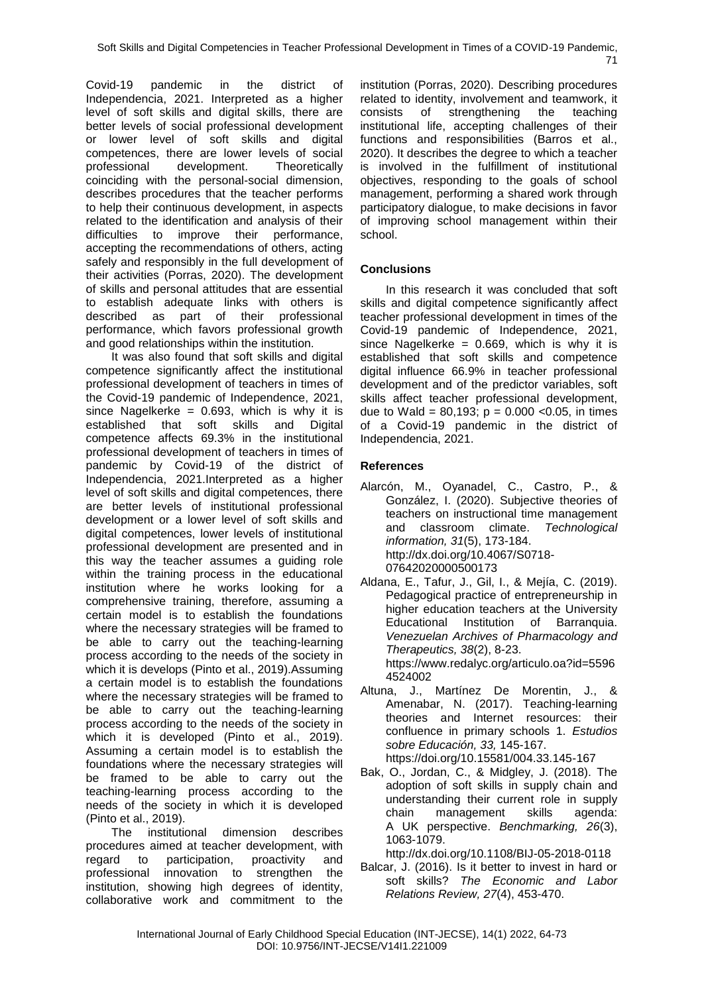Covid-19 pandemic in the district of Independencia, 2021. Interpreted as a higher level of soft skills and digital skills, there are better levels of social professional development or lower level of soft skills and digital competences, there are lower levels of social professional development. Theoretically coinciding with the personal-social dimension, describes procedures that the teacher performs to help their continuous development, in aspects related to the identification and analysis of their difficulties to improve their performance, accepting the recommendations of others, acting safely and responsibly in the full development of their activities (Porras, 2020). The development of skills and personal attitudes that are essential to establish adequate links with others is described as part of their professional performance, which favors professional growth and good relationships within the institution.

It was also found that soft skills and digital competence significantly affect the institutional professional development of teachers in times of the Covid-19 pandemic of Independence, 2021, since Nagelkerke =  $0.693$ , which is why it is established that soft skills and Digital competence affects 69.3% in the institutional professional development of teachers in times of pandemic by Covid-19 of the district of Independencia, 2021.Interpreted as a higher level of soft skills and digital competences, there are better levels of institutional professional development or a lower level of soft skills and digital competences, lower levels of institutional professional development are presented and in this way the teacher assumes a guiding role within the training process in the educational institution where he works looking for a comprehensive training, therefore, assuming a certain model is to establish the foundations where the necessary strategies will be framed to be able to carry out the teaching-learning process according to the needs of the society in which it is develops (Pinto et al., 2019).Assuming a certain model is to establish the foundations where the necessary strategies will be framed to be able to carry out the teaching-learning process according to the needs of the society in which it is developed (Pinto et al., 2019). Assuming a certain model is to establish the foundations where the necessary strategies will be framed to be able to carry out the teaching-learning process according to the needs of the society in which it is developed (Pinto et al., 2019).

The institutional dimension describes procedures aimed at teacher development, with regard to participation, proactivity and professional innovation to strengthen the institution, showing high degrees of identity, collaborative work and commitment to the

institution (Porras, 2020). Describing procedures related to identity, involvement and teamwork, it consists of strengthening the teaching institutional life, accepting challenges of their functions and responsibilities (Barros et al., 2020). It describes the degree to which a teacher is involved in the fulfillment of institutional objectives, responding to the goals of school management, performing a shared work through participatory dialogue, to make decisions in favor of improving school management within their school.

# **Conclusions**

In this research it was concluded that soft skills and digital competence significantly affect teacher professional development in times of the Covid-19 pandemic of Independence, 2021, since Nagelkerke =  $0.669$ , which is why it is established that soft skills and competence digital influence 66.9% in teacher professional development and of the predictor variables, soft skills affect teacher professional development, due to Wald =  $80,193$ ;  $p = 0.000$  < 0.05, in times of a Covid-19 pandemic in the district of Independencia, 2021.

# **References**

- Alarcón, M., Oyanadel, C., Castro, P., & González, I. (2020). Subjective theories of teachers on instructional time management and classroom climate. *Technological information, 31*(5), 173-184. http://dx.doi.org/10.4067/S0718- 07642020000500173
- Aldana, E., Tafur, J., Gil, I., & Mejía, C. (2019). Pedagogical practice of entrepreneurship in higher education teachers at the University Educational Institution of Barranquia. *Venezuelan Archives of Pharmacology and Therapeutics, 38*(2), 8-23. https://www.redalyc.org/articulo.oa?id=5596 4524002
- Altuna, J., Martínez De Morentin, J., & Amenabar, N. (2017). Teaching-learning theories and Internet resources: their confluence in primary schools 1. *Estudios sobre Educación, 33,* 145-167. https://doi.org/10.15581/004.33.145-167
- Bak, O., Jordan, C., & Midgley, J. (2018). The adoption of soft skills in supply chain and understanding their current role in supply chain management skills agenda: A UK perspective. *Benchmarking, 26*(3), 1063-1079.
	- http://dx.doi.org/10.1108/BIJ-05-2018-0118
- Balcar, J. (2016). Is it better to invest in hard or soft skills? *The Economic and Labor Relations Review, 27*(4), 453-470.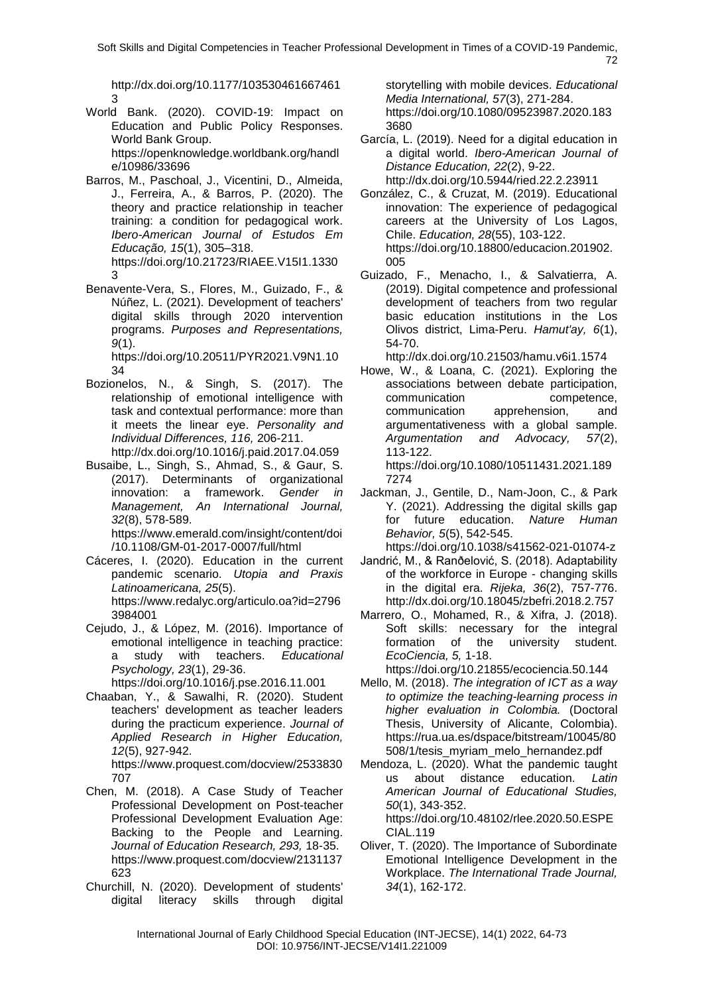http://dx.doi.org/10.1177/103530461667461 3

- World Bank. (2020). COVID-19: Impact on Education and Public Policy Responses. World Bank Group. https://openknowledge.worldbank.org/handl e/10986/33696
- Barros, M., Paschoal, J., Vicentini, D., Almeida, J., Ferreira, A., & Barros, P. (2020). The theory and practice relationship in teacher training: a condition for pedagogical work. *Ibero-American Journal of Estudos Em Educação, 15*(1), 305–318. https://doi.org/10.21723/RIAEE.V15I1.1330 3
- Benavente-Vera, S., Flores, M., Guizado, F., & Núñez, L. (2021). Development of teachers' digital skills through 2020 intervention programs. *Purposes and Representations, 9*(1).

https://doi.org/10.20511/PYR2021.V9N1.10  $34$ 

- Bozionelos, N., & Singh, S. (2017). The relationship of emotional intelligence with task and contextual performance: more than it meets the linear eye. *Personality and Individual Differences, 116,* 206-211. http://dx.doi.org/10.1016/j.paid.2017.04.059
- Busaibe, L., Singh, S., Ahmad, S., & Gaur, S. (2017). Determinants of organizational innovation: a framework. *Gender in Management, An International Journal, 32*(8), 578-589.

https://www.emerald.com/insight/content/doi /10.1108/GM-01-2017-0007/full/html

- Cáceres, I. (2020). Education in the current pandemic scenario. *Utopia and Praxis Latinoamericana, 25*(5). https://www.redalyc.org/articulo.oa?id=2796 3984001
- Cejudo, J., & López, M. (2016). Importance of emotional intelligence in teaching practice: a study with teachers. *Educational Psychology, 23*(1), 29-36. https://doi.org/10.1016/j.pse.2016.11.001
- Chaaban, Y., & Sawalhi, R. (2020). Student teachers' development as teacher leaders during the practicum experience. *Journal of Applied Research in Higher Education, 12*(5), 927-942.

https://www.proquest.com/docview/2533830 707

- Chen, M. (2018). A Case Study of Teacher Professional Development on Post-teacher Professional Development Evaluation Age: Backing to the People and Learning. *Journal of Education Research, 293,* 18-35. https://www.proquest.com/docview/2131137 623
- Churchill, N. (2020). Development of students' digital literacy skills through digital

storytelling with mobile devices. *Educational Media International, 57*(3), 271-284. https://doi.org/10.1080/09523987.2020.183 3680

- García, L. (2019). Need for a digital education in a digital world. *Ibero-American Journal of Distance Education, 22*(2), 9-22. http://dx.doi.org/10.5944/ried.22.2.23911
- González, C., & Cruzat, M. (2019). Educational innovation: The experience of pedagogical careers at the University of Los Lagos, Chile. *Education, 28*(55), 103-122. https://doi.org/10.18800/educacion.201902. 005
- Guizado, F., Menacho, I., & Salvatierra, A. (2019). Digital competence and professional development of teachers from two regular basic education institutions in the Los Olivos district, Lima-Peru. *Hamut'ay, 6*(1), 54-70.

http://dx.doi.org/10.21503/hamu.v6i1.1574

Howe, W., & Loana, C. (2021). Exploring the associations between debate participation, communication competence, communication apprehension, and argumentativeness with a global sample. *Argumentation and Advocacy, 57*(2), 113-122. https://doi.org/10.1080/10511431.2021.189

7274

Jackman, J., Gentile, D., Nam-Joon, C., & Park Y. (2021). Addressing the digital skills gap for future education. *Nature Human Behavior, 5*(5), 542-545.

https://doi.org/10.1038/s41562-021-01074-z

- Jandrić, M., & Ranðelović, S. (2018). Adaptability of the workforce in Europe - changing skills in the digital era. *Rijeka, 36*(2), 757-776. http://dx.doi.org/10.18045/zbefri.2018.2.757
- Marrero, O., Mohamed, R., & Xifra, J. (2018). Soft skills: necessary for the integral formation of the university student. *EcoCiencia, 5,* 1-18.

https://doi.org/10.21855/ecociencia.50.144

- Mello, M. (2018). *The integration of ICT as a way to optimize the teaching-learning process in higher evaluation in Colombia.* (Doctoral Thesis, University of Alicante, Colombia). https://rua.ua.es/dspace/bitstream/10045/80 508/1/tesis\_myriam\_melo\_hernandez.pdf
- Mendoza, L. (2020). What the pandemic taught us about distance education. *Latin American Journal of Educational Studies, 50*(1), 343-352. https://doi.org/10.48102/rlee.2020.50.ESPE

CIAL.119 Oliver, T. (2020). The Importance of Subordinate Emotional Intelligence Development in the Workplace. *The International Trade Journal, 34*(1), 162-172.